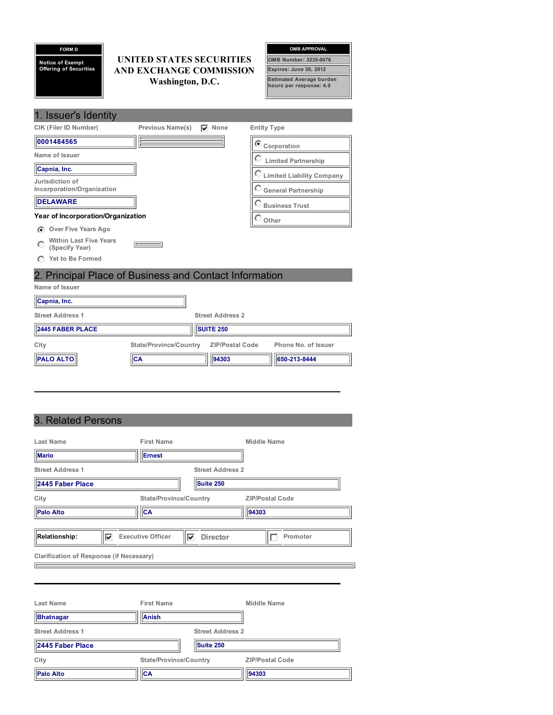| <b>FORM D</b><br><b>Notice of Exempt</b><br><b>Offering of Securities</b> | UNITED STATES SECURITIES<br><b>AND EXCHANGE COMMISSION</b><br>Washington, D.C. |               | <b>OMB APPROVAL</b><br>OMB Number: 3235-0076<br>Expires: June 30, 2012<br><b>Estimated Average burden</b><br>hours per response: 4.0 |
|---------------------------------------------------------------------------|--------------------------------------------------------------------------------|---------------|--------------------------------------------------------------------------------------------------------------------------------------|
| 1. Issuer's Identity                                                      |                                                                                |               |                                                                                                                                      |
| CIK (Filer ID Number)                                                     | Previous Name(s)                                                               | $\nabla$ None | <b>Entity Type</b>                                                                                                                   |
| 0001484565                                                                |                                                                                |               | Corporation                                                                                                                          |
| Name of Issuer                                                            |                                                                                |               | <b>Limited Partnership</b>                                                                                                           |
| Capnia, Inc.                                                              |                                                                                |               | <b>C</b> Limited Liability Company                                                                                                   |
| Jurisdiction of<br>Incorporation/Organization                             |                                                                                |               | General Partnership                                                                                                                  |
| <b>DELAWARE</b>                                                           |                                                                                |               | <b>Business Trust</b>                                                                                                                |
| Year of Incorporation/Organization                                        |                                                                                |               | $\cup$ Other                                                                                                                         |
| <b>Over Five Years Ago</b><br>G                                           |                                                                                |               |                                                                                                                                      |
| <b>Within Last Five Years</b><br>(Specify Year)                           |                                                                                |               |                                                                                                                                      |
| <b>Yet to Be Formed</b>                                                   |                                                                                |               |                                                                                                                                      |

# 2. Principal Place of Business and Contact Information

| Name of Issuer          |                                           |                         |                     |
|-------------------------|-------------------------------------------|-------------------------|---------------------|
| Capnia, Inc.            |                                           |                         |                     |
| <b>Street Address 1</b> |                                           | <b>Street Address 2</b> |                     |
| <b>2445 FABER PLACE</b> |                                           | <b>SUITE 250</b>        |                     |
| City                    | State/Province/Country    ZIP/Postal Code |                         | Phone No. of Issuer |
| <b>PALO ALTO</b>        | <b>ICA</b>                                | 94303                   | 650-213-8444        |

# 3. Related Persons

| Last Name<br><b>Mario</b>                       | <b>First Name</b><br>Ernest   |                                      | Middle Name            |
|-------------------------------------------------|-------------------------------|--------------------------------------|------------------------|
| <b>Street Address 1</b><br>2445 Faber Place     |                               | <b>Street Address 2</b><br>Suite 250 |                        |
| City                                            | <b>State/Province/Country</b> |                                      | <b>ZIP/Postal Code</b> |
| <b>Palo Alto</b>                                | CA                            |                                      | 94303                  |
| <b>Relationship:</b><br>⊽                       | <b>Executive Officer</b>      | <b>Director</b><br>⊽                 | Promoter               |
| <b>Clarification of Response (if Necessary)</b> |                               |                                      |                        |
|                                                 |                               |                                      |                        |
| Last Name                                       | <b>First Name</b>             |                                      | Middle Name            |
| <b>Bhatnagar</b>                                | Anish                         |                                      |                        |
| <b>Street Address 1</b>                         |                               | <b>Street Address 2</b>              |                        |
| 2445 Faber Place                                |                               | Suite 250                            |                        |
| City                                            | <b>State/Province/Country</b> |                                      | <b>ZIP/Postal Code</b> |
| <b>Palo Alto</b>                                | <b>CA</b>                     |                                      | 94303                  |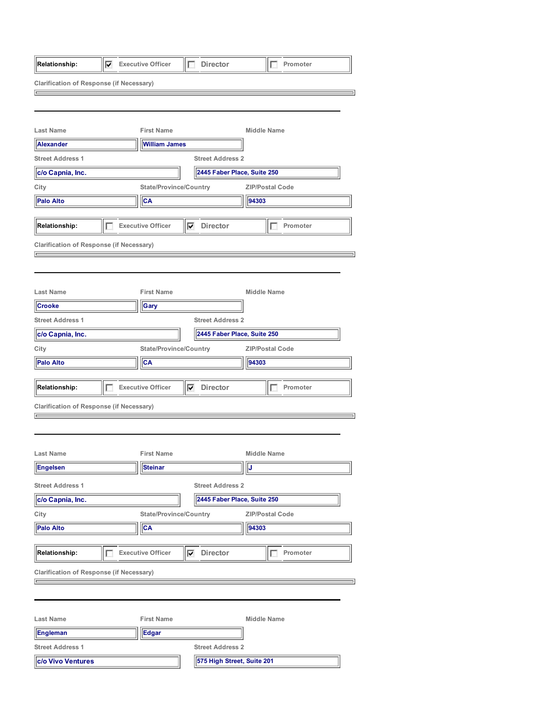| Relationship:                                          | 1⊽ | <b>Executive Officer</b>      | <b>Director</b><br>IF   | Promoter                    |  |
|--------------------------------------------------------|----|-------------------------------|-------------------------|-----------------------------|--|
| <b>Clarification of Response (if Necessary)</b><br>⋿   |    |                               |                         |                             |  |
|                                                        |    |                               |                         |                             |  |
|                                                        |    |                               |                         |                             |  |
| <b>Last Name</b>                                       |    | <b>First Name</b>             |                         | Middle Name                 |  |
| <b>Alexander</b>                                       |    | <b>William James</b>          |                         |                             |  |
| <b>Street Address 1</b>                                |    |                               | <b>Street Address 2</b> |                             |  |
| c/o Capnia, Inc.                                       |    |                               |                         | 2445 Faber Place, Suite 250 |  |
| City                                                   |    | <b>State/Province/Country</b> |                         | <b>ZIP/Postal Code</b>      |  |
| <b>Palo Alto</b>                                       |    | ∣CA                           |                         | 94303                       |  |
| <b>Relationship:</b>                                   |    | <b>Executive Officer</b>      | $\nabla$ Director       | Promoter                    |  |
|                                                        |    |                               |                         |                             |  |
| <b>Clarification of Response (if Necessary)</b><br>$=$ |    |                               |                         |                             |  |
|                                                        |    |                               |                         |                             |  |
|                                                        |    |                               |                         |                             |  |
| <b>Last Name</b>                                       |    | <b>First Name</b>             |                         | <b>Middle Name</b>          |  |
| <b>Crooke</b>                                          |    | Gary                          |                         |                             |  |
| <b>Street Address 1</b>                                |    |                               | <b>Street Address 2</b> |                             |  |
| c/o Capnia, Inc.                                       |    |                               |                         | 2445 Faber Place, Suite 250 |  |
| City                                                   |    | <b>State/Province/Country</b> |                         | <b>ZIP/Postal Code</b>      |  |
| <b>Palo Alto</b>                                       |    | CA                            |                         | 94303                       |  |
|                                                        |    |                               |                         |                             |  |
| Relationship:                                          |    | <b>Executive Officer</b>      | $\nabla$ Director       | Promoter                    |  |
| <b>Clarification of Response (if Necessary)</b>        |    |                               |                         |                             |  |
|                                                        |    |                               |                         |                             |  |
|                                                        |    |                               |                         |                             |  |
| <b>Last Name</b>                                       |    | <b>First Name</b>             |                         | <b>Middle Name</b>          |  |
| <b>Engelsen</b>                                        |    | Steinar                       |                         | J                           |  |
|                                                        |    |                               |                         |                             |  |
| <b>Street Address 1</b>                                |    |                               | <b>Street Address 2</b> |                             |  |
| c/o Capnia, Inc.                                       |    |                               |                         | 2445 Faber Place, Suite 250 |  |
| City                                                   |    | <b>State/Province/Country</b> |                         | <b>ZIP/Postal Code</b>      |  |
| <b>Palo Alto</b>                                       |    | <b>CA</b>                     |                         | 94303                       |  |
| Relationship:                                          | IE | <b>Executive Officer</b>      | <b>Director</b><br>⊽    | Promoter<br>Г               |  |
| <b>Clarification of Response (if Necessary)</b>        |    |                               |                         |                             |  |
|                                                        |    |                               |                         |                             |  |
|                                                        |    |                               |                         |                             |  |
|                                                        |    |                               |                         |                             |  |
| <b>Last Name</b>                                       |    | <b>First Name</b>             |                         | <b>Middle Name</b>          |  |
| Engleman                                               |    | Edgar                         |                         |                             |  |
| <b>Street Address 1</b>                                |    |                               | <b>Street Address 2</b> |                             |  |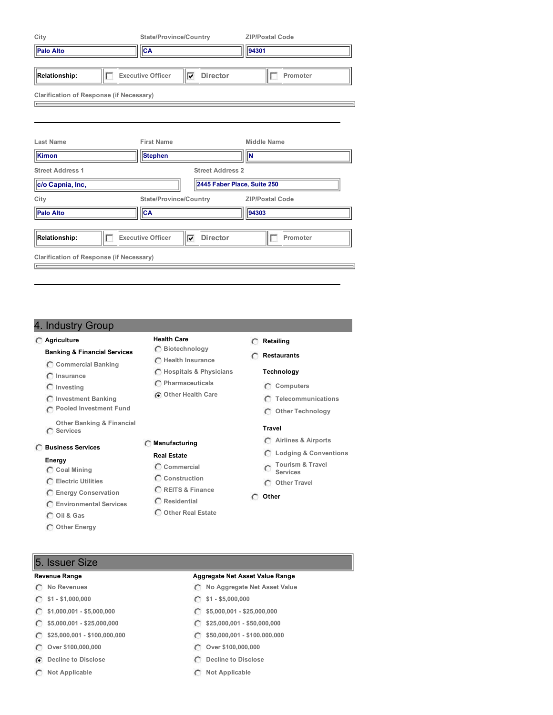| City                                            | <b>State/Province/Country</b> |                             | <b>ZIP/Postal Code</b> |  |
|-------------------------------------------------|-------------------------------|-----------------------------|------------------------|--|
| <b>Palo Alto</b>                                | <b>CA</b>                     |                             | 94301                  |  |
| <b>Relationship:</b>                            | <b>Executive Officer</b><br>⊽ | <b>Director</b>             | Promoter               |  |
| <b>Clarification of Response (if Necessary)</b> |                               |                             |                        |  |
|                                                 |                               |                             |                        |  |
|                                                 |                               |                             |                        |  |
| <b>Last Name</b>                                | <b>First Name</b>             |                             | <b>Middle Name</b>     |  |
| Kirnon                                          | <b>Stephen</b>                |                             | <b>N</b>               |  |
| <b>Street Address 1</b>                         |                               | <b>Street Address 2</b>     |                        |  |
| c/o Capnia, Inc,                                |                               | 2445 Faber Place, Suite 250 |                        |  |
| City                                            | <b>State/Province/Country</b> |                             | <b>ZIP/Postal Code</b> |  |
| <b>Palo Alto</b>                                | <b>CA</b>                     |                             | 94303                  |  |
|                                                 |                               |                             |                        |  |
| <b>Relationship:</b>                            | <b>Executive Officer</b><br>⊽ | <b>Director</b>             | Promoter               |  |
| <b>Clarification of Response (if Necessary)</b> |                               |                             |                        |  |
|                                                 |                               |                             |                        |  |

## 4. Industry Group

#### **Agriculture**

- **Banking & Financial Services**
- **Commercial Banking**
- **Insurance**
- **Investing**
- **Investment Banking**
- **Pooled Investment Fund**

**Other Banking & Financial Services**

#### **Business Services**

#### **Energy**

- **Coal Mining**
- **Electric Utilities**
- **Energy Conservation**
- **Environmental Services**
- **Oil & Gas**
- **Other Energy**

### **Health Care Biotechnology**

- **Health Insurance Hospitals & Physicians**
- - **Pharmaceuticals**
	- **Other Health Care**

- **Manufacturing**
	- **Real Estate**
- **Commercial**
- **Construction**
- **REITS & Finance**
- **Residential**
- **Other Real Estate**

#### **Retailing**

- **Restaurants**
	- **Technology**
	- **Computers**
	- **Telecommunications**
	- **Other Technology**

## **Travel**

- **Airlines & Airports**
- **Lodging & Conventions**
- **Tourism & Travel Services**
- **Other Travel**
- **Other**

## 5. Issuer Size

- 
- 
- $\circ$
- $\circ$
- $\circ$
- $\circ$
- 
- 

#### **Revenue Range Aggregate Net Asset Value Range**

- **No Revenues No Aggregate Net Asset Value**
- **\$1 - \$1,000,000 \$1 - \$5,000,000**
	- **\$1,000,001 - \$5,000,000 \$5,000,001 - \$25,000,000**
	- **\$5,000,001 - \$25,000,000 \$25,000,001 - \$50,000,000**
	- **\$25,000,001 - \$100,000,000 \$50,000,001 - \$100,000,000**
	- **Over \$100,000,000 Over \$100,000,000**
- **Decline to Disclose Decline to Disclose**
- **Not Applicable Not Applicable**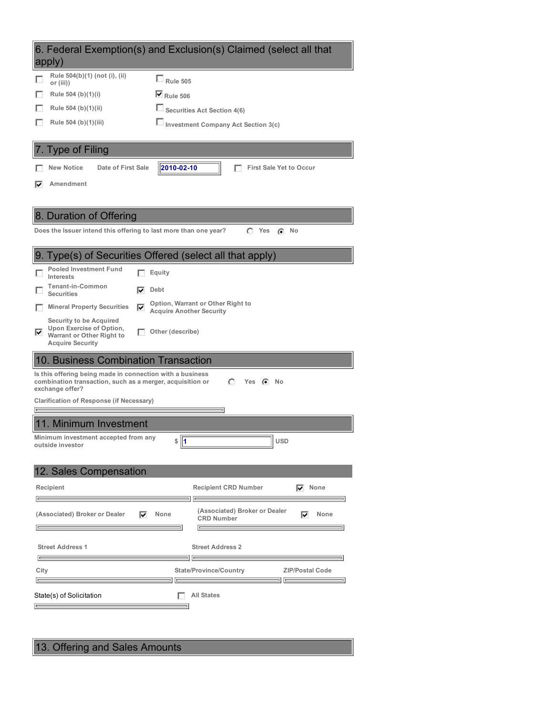| 6. Federal Exemption(s) and Exclusion(s) Claimed (select all that<br>apply)                                                                                                                           |
|-------------------------------------------------------------------------------------------------------------------------------------------------------------------------------------------------------|
| Rule 504(b)(1) (not (i), (ii)<br>$\Box$ Rule 505<br>or (iii))                                                                                                                                         |
| $\nabla$ Rule 506<br>Rule 504 (b)(1)(i)                                                                                                                                                               |
| Rule 504 (b)(1)(ii)<br><b>Securities Act Section 4(6)</b>                                                                                                                                             |
| Investment Company Act Section 3(c)<br>Rule 504 (b)(1)(iii)                                                                                                                                           |
|                                                                                                                                                                                                       |
| <b>Type of Filing</b>                                                                                                                                                                                 |
| 2010-02-10<br>Date of First Sale<br><b>New Notice</b><br><b>First Sale Yet to Occur</b>                                                                                                               |
| Amendment<br>M                                                                                                                                                                                        |
|                                                                                                                                                                                                       |
| 8. Duration of Offering                                                                                                                                                                               |
| Does the Issuer intend this offering to last more than one year?<br>$C$ Yes<br>No<br>$\epsilon$                                                                                                       |
|                                                                                                                                                                                                       |
| 9. Type(s) of Securities Offered (select all that apply)                                                                                                                                              |
| <b>Pooled Investment Fund</b><br>Equity<br>Interests                                                                                                                                                  |
| <b>Tenant-in-Common</b><br>Debt<br>⊽<br><b>Securities</b>                                                                                                                                             |
| Option, Warrant or Other Right to<br><b>Mineral Property Securities</b><br>⊽<br>н<br><b>Acquire Another Security</b>                                                                                  |
| <b>Security to be Acquired</b><br>Upon Exercise of Option,<br>Other (describe)<br>M<br>Warrant or Other Right to<br><b>Acquire Security</b>                                                           |
| 10. Business Combination Transaction                                                                                                                                                                  |
| Is this offering being made in connection with a business<br>combination transaction, such as a merger, acquisition or<br>C<br>Yes (C No<br>exchange offer?                                           |
| <b>Clarification of Response (if Necessary)</b>                                                                                                                                                       |
|                                                                                                                                                                                                       |
| 11. Minimum Investment                                                                                                                                                                                |
| Minimum investment accepted from any<br>$\frac{1}{2}$<br><b>USD</b><br>outside investor                                                                                                               |
|                                                                                                                                                                                                       |
| 12. Sales Compensation                                                                                                                                                                                |
| <b>Recipient CRD Number</b><br>Recipient<br>$\nabla$ None                                                                                                                                             |
| (Associated) Broker or Dealer<br>(Associated) Broker or Dealer<br>⊽<br>⊽<br>None<br>None<br><b>CRD Number</b>                                                                                         |
| <b>Street Address 1</b><br><b>Street Address 2</b>                                                                                                                                                    |
| <u> International American property</u><br>$\overline{a}$ and $\overline{a}$ are the set of $\overline{a}$<br><b>State/Province/Country</b><br>City<br><b>ZIP/Postal Code</b><br>$\overline{}$<br>$=$ |
| <b>All States</b><br>State(s) of Solicitation<br>$=$                                                                                                                                                  |

13. Offering and Sales Amounts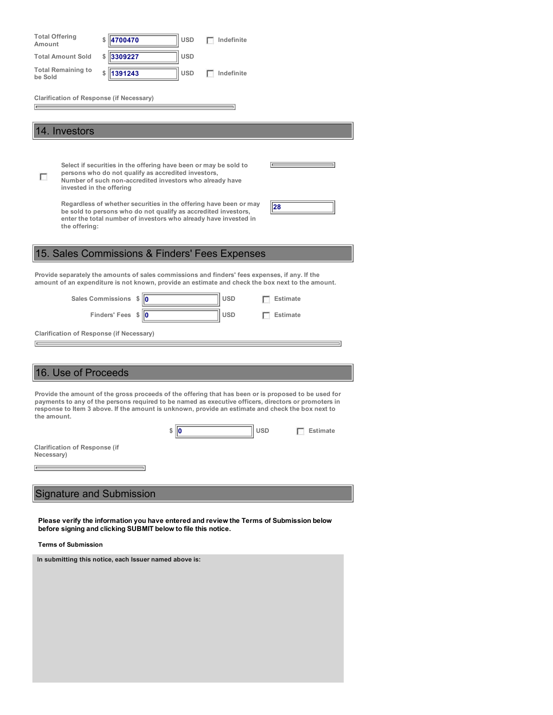| <b>Total Offering</b><br>Amount                                                                                                                                                                                                | 4700470                                                                                                                                                                                                                                                                                                           | <b>USD</b> | Indefinite |                 |  |  |
|--------------------------------------------------------------------------------------------------------------------------------------------------------------------------------------------------------------------------------|-------------------------------------------------------------------------------------------------------------------------------------------------------------------------------------------------------------------------------------------------------------------------------------------------------------------|------------|------------|-----------------|--|--|
| <b>Total Amount Sold</b>                                                                                                                                                                                                       | 3309227<br>\$                                                                                                                                                                                                                                                                                                     | <b>USD</b> |            |                 |  |  |
| <b>Total Remaining to</b><br>be Sold                                                                                                                                                                                           | 1391243                                                                                                                                                                                                                                                                                                           | <b>USD</b> | Indefinite |                 |  |  |
| <b>Clarification of Response (if Necessary)</b>                                                                                                                                                                                |                                                                                                                                                                                                                                                                                                                   |            |            |                 |  |  |
|                                                                                                                                                                                                                                |                                                                                                                                                                                                                                                                                                                   |            |            |                 |  |  |
| 14. Investors                                                                                                                                                                                                                  |                                                                                                                                                                                                                                                                                                                   |            |            |                 |  |  |
|                                                                                                                                                                                                                                |                                                                                                                                                                                                                                                                                                                   |            |            |                 |  |  |
| п<br>invested in the offering                                                                                                                                                                                                  | Select if securities in the offering have been or may be sold to<br>persons who do not qualify as accredited investors,<br>Number of such non-accredited investors who already have                                                                                                                               |            |            |                 |  |  |
| Regardless of whether securities in the offering have been or may<br>28<br>be sold to persons who do not qualify as accredited investors,<br>enter the total number of investors who already have invested in<br>the offering: |                                                                                                                                                                                                                                                                                                                   |            |            |                 |  |  |
|                                                                                                                                                                                                                                | 15. Sales Commissions & Finders' Fees Expenses                                                                                                                                                                                                                                                                    |            |            |                 |  |  |
|                                                                                                                                                                                                                                | Provide separately the amounts of sales commissions and finders' fees expenses, if any. If the<br>amount of an expenditure is not known, provide an estimate and check the box next to the amount.                                                                                                                |            |            |                 |  |  |
|                                                                                                                                                                                                                                | Sales Commissions $\sin \theta$                                                                                                                                                                                                                                                                                   |            | <b>USD</b> | <b>Estimate</b> |  |  |
|                                                                                                                                                                                                                                | Finders' Fees $\sqrt[6]{\mathbf{0}}$                                                                                                                                                                                                                                                                              |            | <b>USD</b> | <b>Estimate</b> |  |  |
| Clarification of Response (if Necessary)                                                                                                                                                                                       |                                                                                                                                                                                                                                                                                                                   |            |            |                 |  |  |
|                                                                                                                                                                                                                                |                                                                                                                                                                                                                                                                                                                   |            |            |                 |  |  |
| 16. Use of Proceeds                                                                                                                                                                                                            |                                                                                                                                                                                                                                                                                                                   |            |            |                 |  |  |
|                                                                                                                                                                                                                                |                                                                                                                                                                                                                                                                                                                   |            |            |                 |  |  |
| the amount.                                                                                                                                                                                                                    | Provide the amount of the gross proceeds of the offering that has been or is proposed to be used for<br>payments to any of the persons required to be named as executive officers, directors or promoters in<br>response to Item 3 above. If the amount is unknown, provide an estimate and check the box next to |            |            |                 |  |  |

**Clarification of Response (if Necessary)**

 $\boxed{\Box}$ 

# Signature and Submission

**Please verify the information you have entered and review the Terms of Submission below before signing and clicking SUBMIT below to file this notice.**

**\$ 0 USD Estimate**

### **Terms of Submission**

**In submitting this notice, each Issuer named above is:**

 $\equiv$